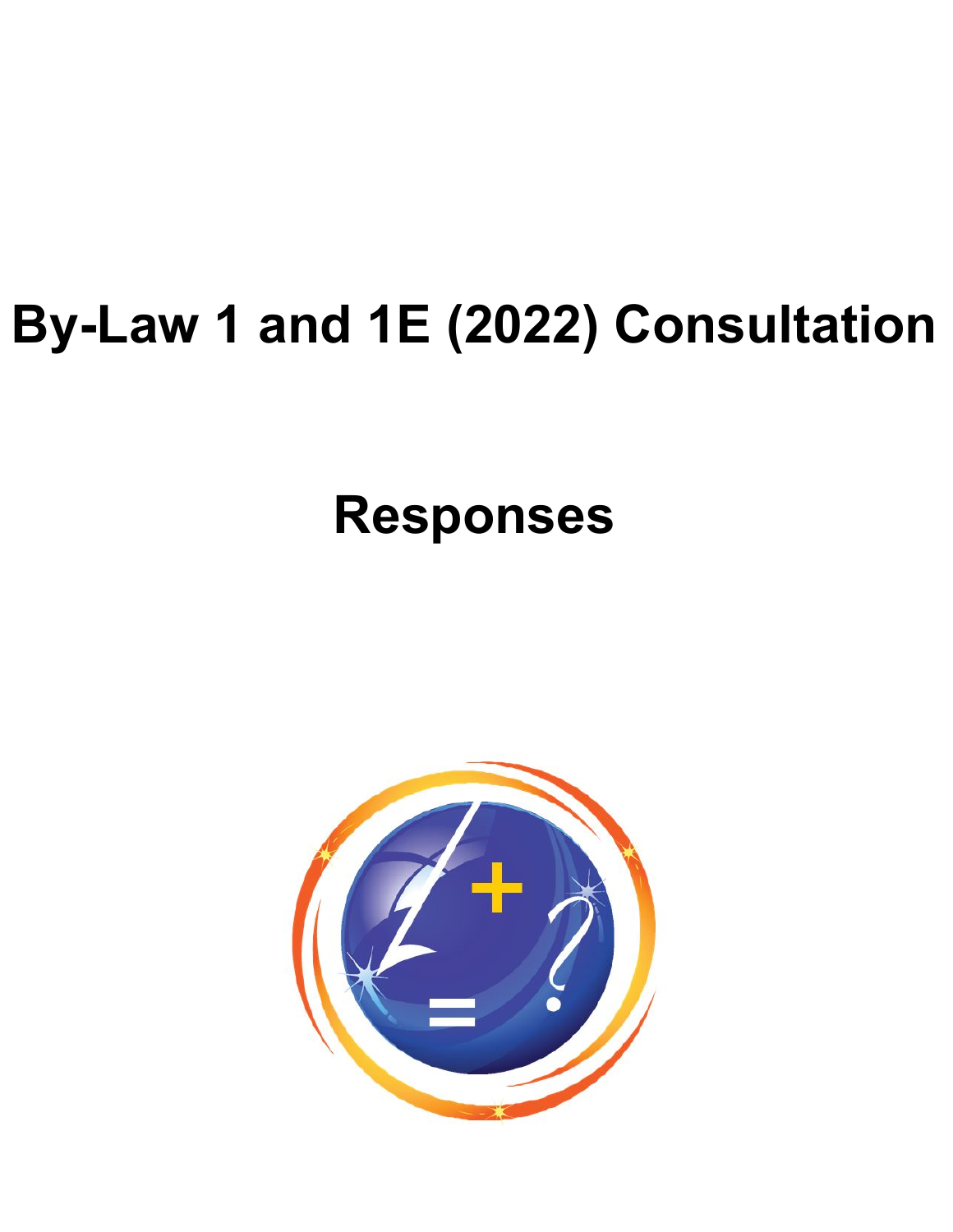# **By-Law 1 and 1E (2022) Consultation**

## **Responses**

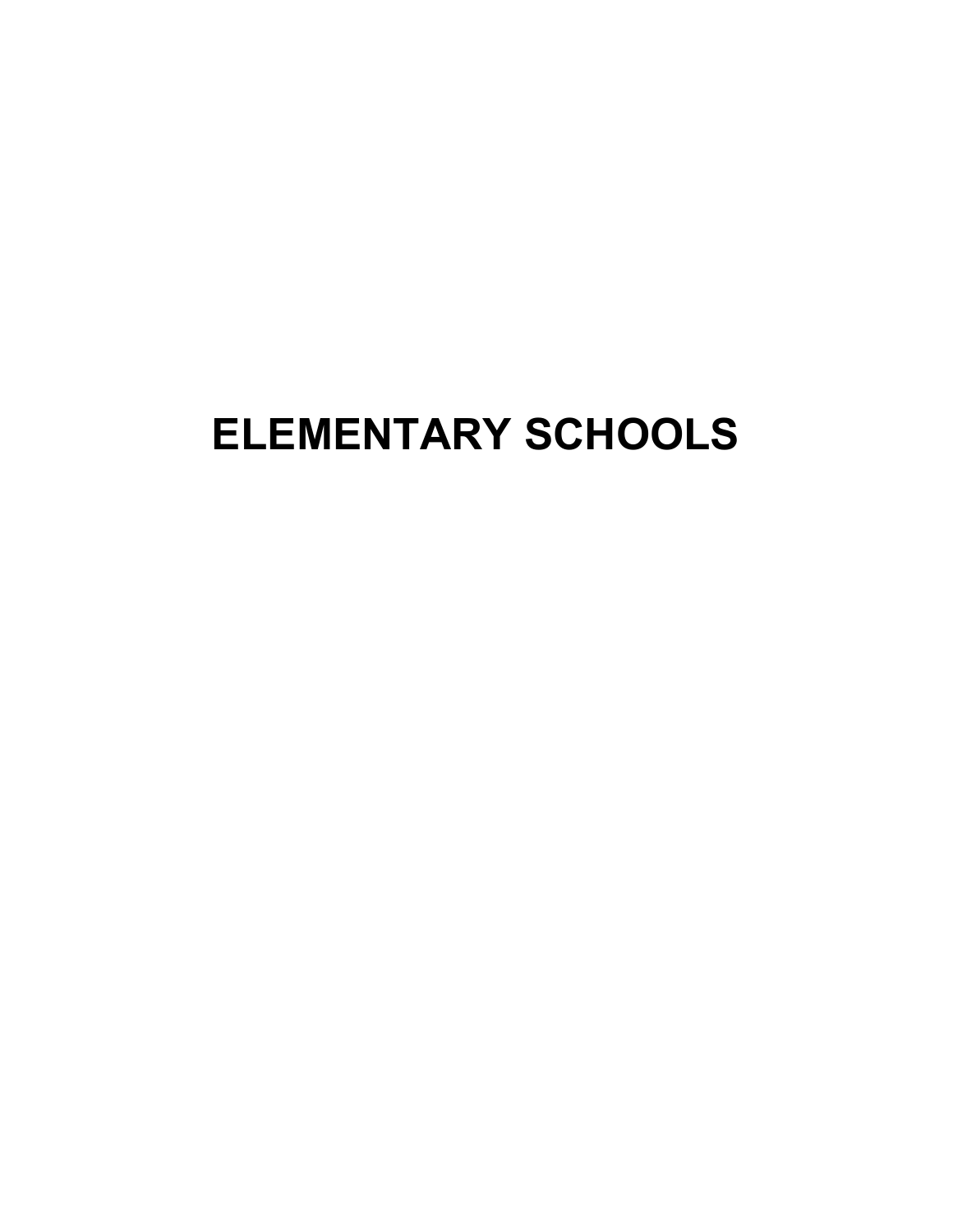## **ELEMENTARY SCHOOLS**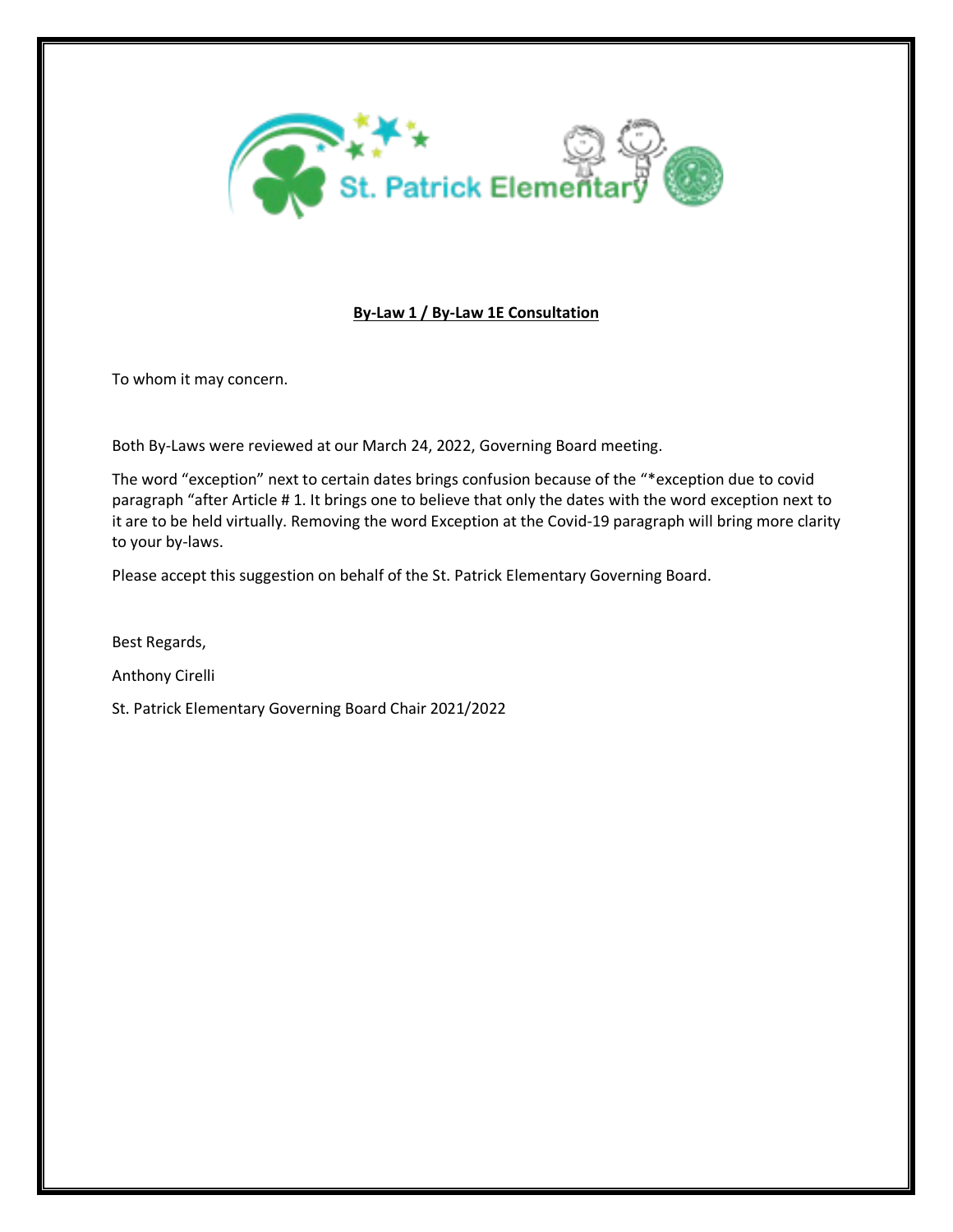

#### **By-Law 1 / By-Law 1E Consultation**

To whom it may concern.

Both By-Laws were reviewed at our March 24, 2022, Governing Board meeting.

The word "exception" next to certain dates brings confusion because of the "\*exception due to covid paragraph "after Article # 1. It brings one to believe that only the dates with the word exception next to it are to be held virtually. Removing the word Exception at the Covid-19 paragraph will bring more clarity to your by-laws.

Please accept this suggestion on behalf of the St. Patrick Elementary Governing Board.

Best Regards,

Anthony Cirelli

St. Patrick Elementary Governing Board Chair 2021/2022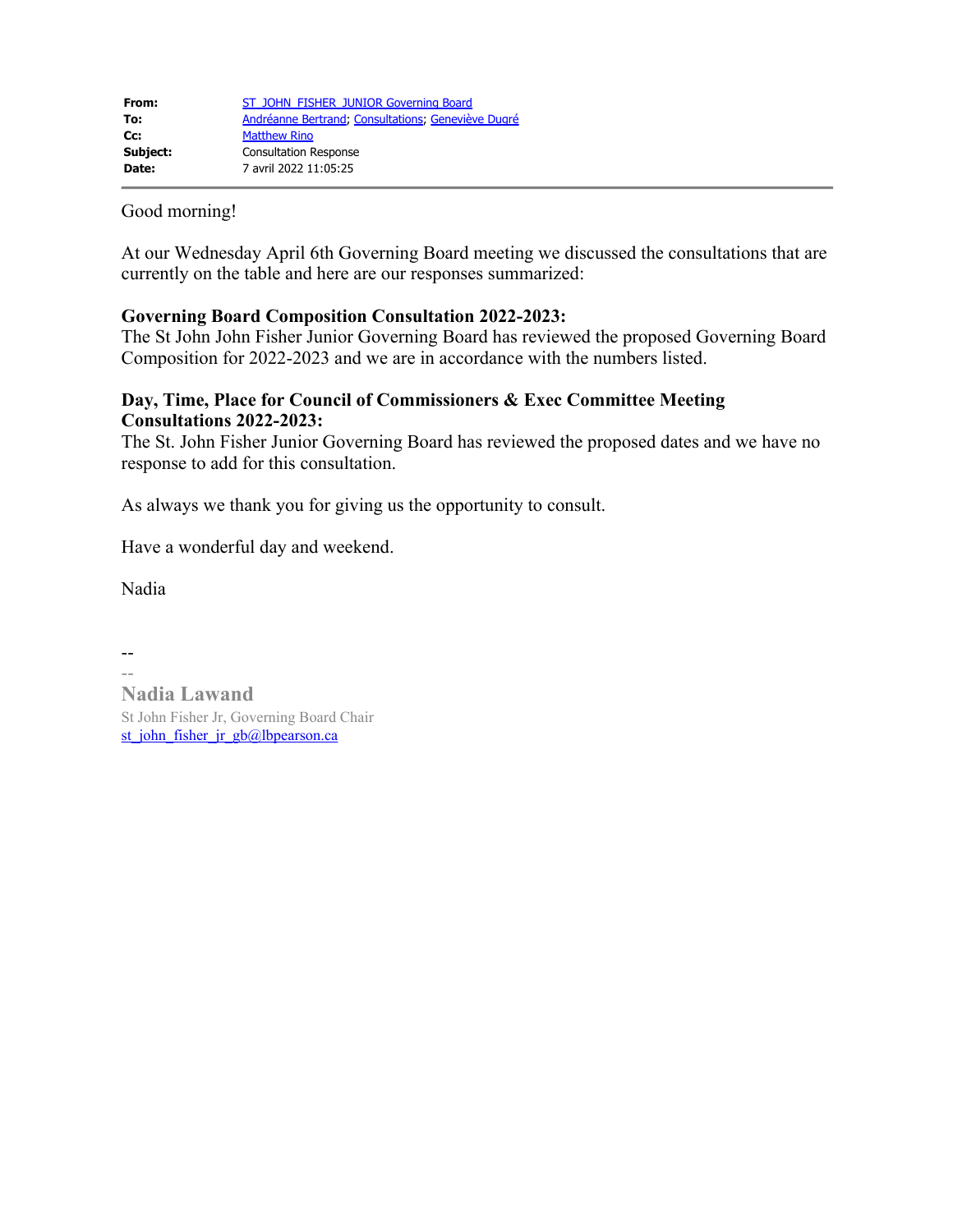| From:    | ST JOHN FISHER JUNIOR Governing Board              |
|----------|----------------------------------------------------|
| To:      | Andréanne Bertrand, Consultations, Geneviève Dugré |
| Cc:      | <b>Matthew Rino</b>                                |
| Subject: | <b>Consultation Response</b>                       |
| Date:    | 7 avril 2022 11:05:25                              |

#### Good morning!

At our Wednesday April 6th Governing Board meeting we discussed the consultations that are currently on the table and here are our responses summarized:

#### **Governing Board Composition Consultation 2022-2023:**

The St John John Fisher Junior Governing Board has reviewed the proposed Governing Board Composition for 2022-2023 and we are in accordance with the numbers listed.

#### **Day, Time, Place for Council of Commissioners & Exec Committee Meeting Consultations 2022-2023:**

The St. John Fisher Junior Governing Board has reviewed the proposed dates and we have no response to add for this consultation.

As always we thank you for giving us the opportunity to consult.

Have a wonderful day and weekend.

Nadia

--

-- **Nadia Lawand** St John Fisher Jr, Governing Board Chair [st\\_john\\_fisher\\_jr\\_gb@lbpearson.ca](mailto:st_john_fisher_jr_gb@lbpearson.ca)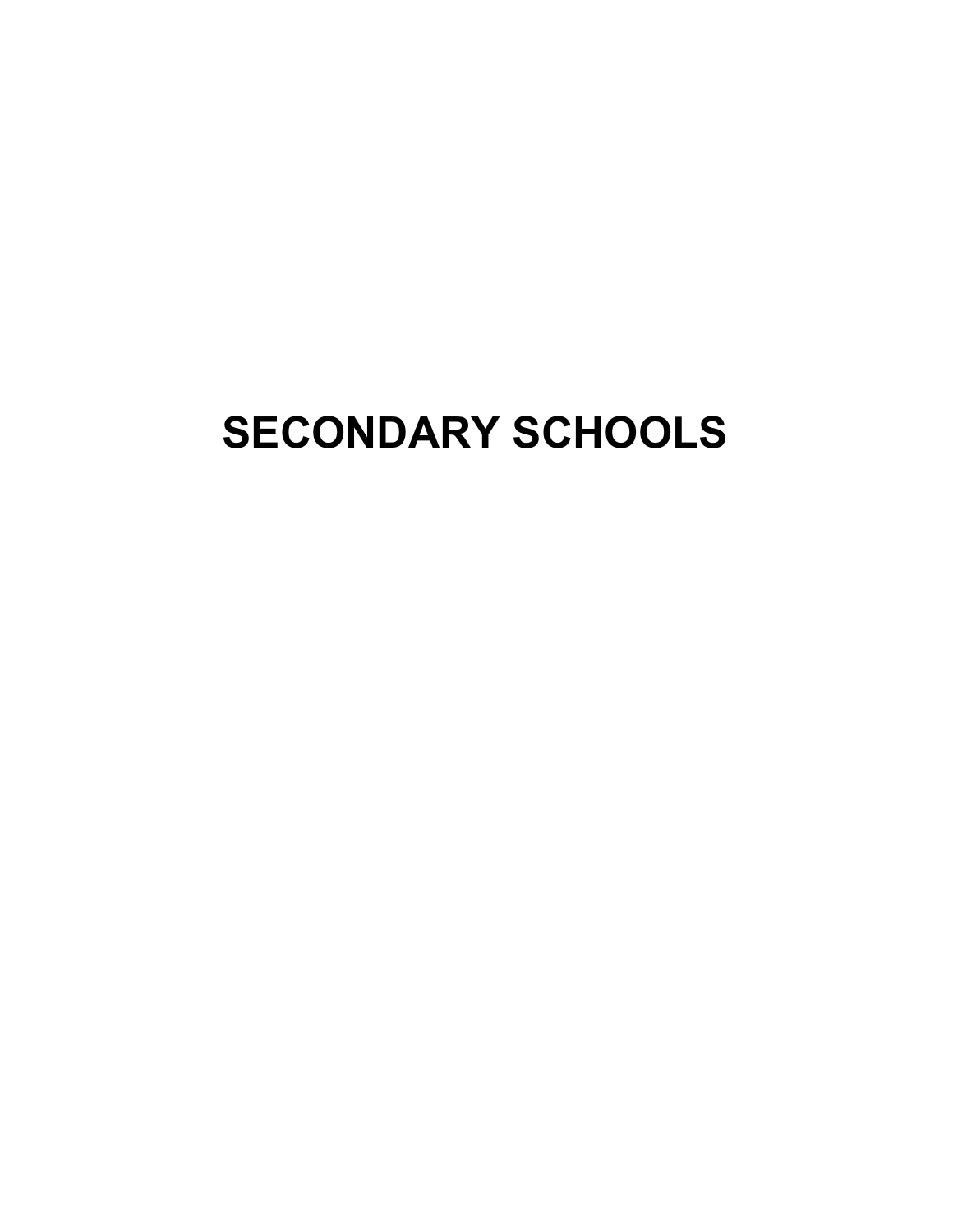### **SECONDARY SCHOOLS**